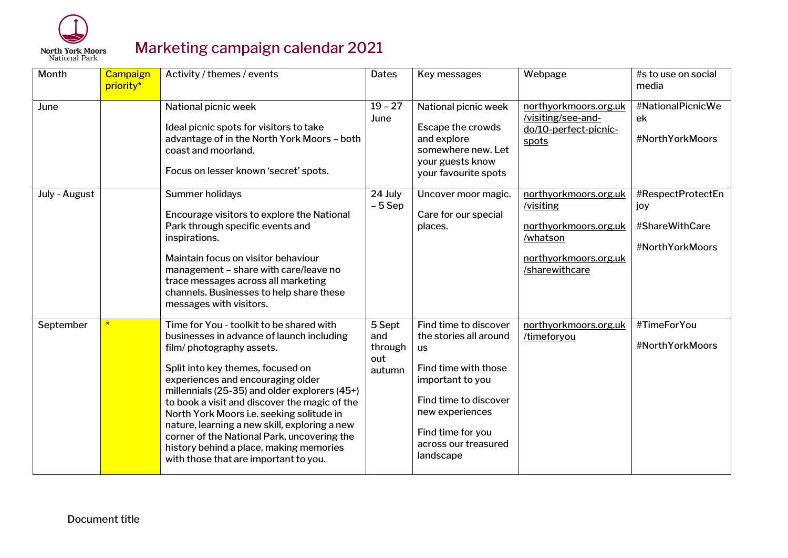

## Marketing campaign calendar 2021

| Month         | <b>Campaign</b><br>priority* | Activity / themes / events                                                                                                                                                                                                                                                                                                                                                                                                                                                                                                     | Dates                                     | Key messages                                                                                                                                                                                                   | Webpage                                                                                                            | #s to use on social<br>media                                  |
|---------------|------------------------------|--------------------------------------------------------------------------------------------------------------------------------------------------------------------------------------------------------------------------------------------------------------------------------------------------------------------------------------------------------------------------------------------------------------------------------------------------------------------------------------------------------------------------------|-------------------------------------------|----------------------------------------------------------------------------------------------------------------------------------------------------------------------------------------------------------------|--------------------------------------------------------------------------------------------------------------------|---------------------------------------------------------------|
| June          |                              | National picnic week<br>Ideal picnic spots for visitors to take<br>advantage of in the North York Moors - both<br>coast and moorland.<br>Focus on lesser known 'secret' spots.                                                                                                                                                                                                                                                                                                                                                 | $19 - 27$<br>June                         | National picnic week<br>Escape the crowds<br>and explore<br>somewhere new. Let<br>your guests know<br>your favourite spots                                                                                     | northyorkmoors.org.uk<br>/visiting/see-and-<br>do/10-perfect-picnic-<br>spots                                      | #NationalPicnicWe<br>ek<br>#NorthYorkMoors                    |
| July - August |                              | Summer holidays<br>Encourage visitors to explore the National<br>Park through specific events and<br>inspirations.<br>Maintain focus on visitor behaviour<br>management - share with care/leave no<br>trace messages across all marketing<br>channels. Businesses to help share these<br>messages with visitors.                                                                                                                                                                                                               | 24 July<br>$-5$ Sep                       | Uncover moor magic.<br>Care for our special<br>places.                                                                                                                                                         | northyorkmoors.org.uk<br>/visiting<br>northyorkmoors.org.uk<br>/whatson<br>northyorkmoors.org.uk<br>/sharewithcare | #RespectProtectEn<br>joy<br>#ShareWithCare<br>#NorthYorkMoors |
| September     | $\star$                      | Time for You - toolkit to be shared with<br>businesses in advance of launch including<br>film/photography assets.<br>Split into key themes, focused on<br>experiences and encouraging older<br>millennials (25-35) and older explorers (45+)<br>to book a visit and discover the magic of the<br>North York Moors i.e. seeking solitude in<br>nature, learning a new skill, exploring a new<br>corner of the National Park, uncovering the<br>history behind a place, making memories<br>with those that are important to you. | 5 Sept<br>and<br>through<br>out<br>autumn | Find time to discover<br>the stories all around<br><b>us</b><br>Find time with those<br>important to you<br>Find time to discover<br>new experiences<br>Find time for you<br>across our treasured<br>landscape | northyorkmoors.org.uk<br>/timeforyou                                                                               | #TimeForYou<br>#NorthYorkMoors                                |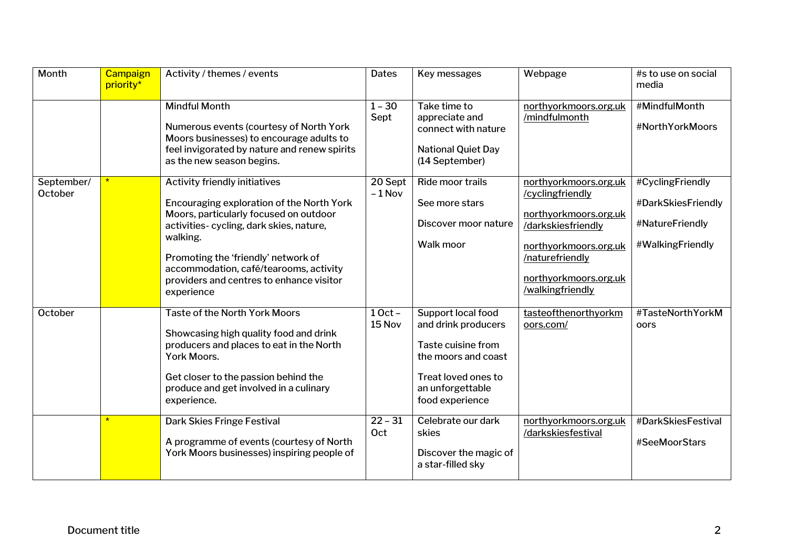| Month                 | <b>Campaign</b><br>priority* | Activity / themes / events                                                                                                                                                                                                                                                                                             | <b>Dates</b>        | Key messages                                                                                                                                         | Webpage                                                                                                                                                                           | #s to use on social<br>media                                                  |
|-----------------------|------------------------------|------------------------------------------------------------------------------------------------------------------------------------------------------------------------------------------------------------------------------------------------------------------------------------------------------------------------|---------------------|------------------------------------------------------------------------------------------------------------------------------------------------------|-----------------------------------------------------------------------------------------------------------------------------------------------------------------------------------|-------------------------------------------------------------------------------|
|                       |                              | <b>Mindful Month</b><br>Numerous events (courtesy of North York<br>Moors businesses) to encourage adults to<br>feel invigorated by nature and renew spirits<br>as the new season begins.                                                                                                                               | $1 - 30$<br>Sept    | Take time to<br>appreciate and<br>connect with nature<br>National Quiet Day<br>(14 September)                                                        | northyorkmoors.org.uk<br>/mindfulmonth                                                                                                                                            | #MindfulMonth<br>#NorthYorkMoors                                              |
| September/<br>October | $\star$                      | Activity friendly initiatives<br>Encouraging exploration of the North York<br>Moors, particularly focused on outdoor<br>activities-cycling, dark skies, nature,<br>walking.<br>Promoting the 'friendly' network of<br>accommodation, café/tearooms, activity<br>providers and centres to enhance visitor<br>experience | 20 Sept<br>$-1$ Nov | Ride moor trails<br>See more stars<br>Discover moor nature<br>Walk moor                                                                              | northyorkmoors.org.uk<br>/cyclingfriendly<br>northyorkmoors.org.uk<br>/darkskiesfriendly<br>northyorkmoors.org.uk<br>/naturefriendly<br>northyorkmoors.org.uk<br>/walkingfriendly | #CyclingFriendly<br>#DarkSkiesFriendly<br>#NatureFriendly<br>#WalkingFriendly |
| October               |                              | <b>Taste of the North York Moors</b><br>Showcasing high quality food and drink<br>producers and places to eat in the North<br>York Moors.<br>Get closer to the passion behind the<br>produce and get involved in a culinary<br>experience.                                                                             | $10ct -$<br>15 Nov  | Support local food<br>and drink producers<br>Taste cuisine from<br>the moors and coast<br>Treat loved ones to<br>an unforgettable<br>food experience | tasteofthenorthyorkm<br>oors.com/                                                                                                                                                 | #TasteNorthYorkM<br>oors                                                      |
|                       | $\star$                      | Dark Skies Fringe Festival<br>A programme of events (courtesy of North<br>York Moors businesses) inspiring people of                                                                                                                                                                                                   | $22 - 31$<br>Oct    | Celebrate our dark<br>skies<br>Discover the magic of<br>a star-filled sky                                                                            | northyorkmoors.org.uk<br>/darkskiesfestival                                                                                                                                       | #DarkSkiesFestival<br>#SeeMoorStars                                           |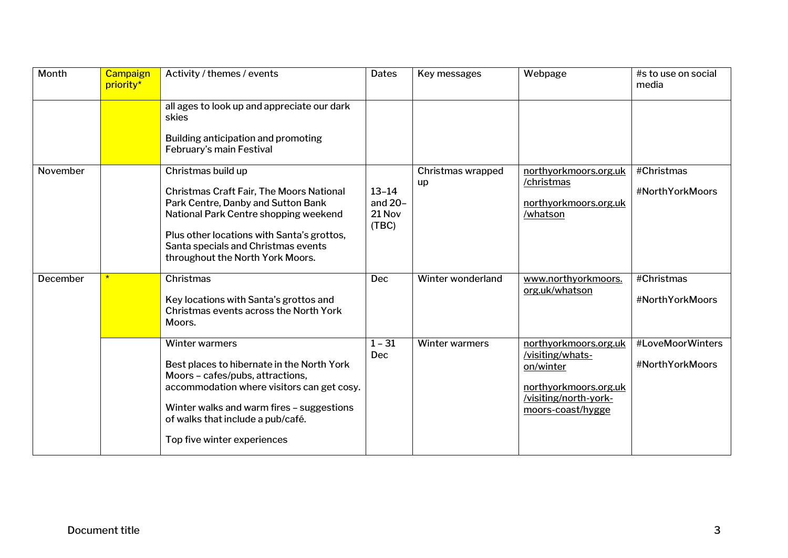| Month    | <b>Campaign</b><br>priority* | Activity / themes / events                                                                                                                                                                                                                                                    | <b>Dates</b>                              | Key messages            | Webpage                                                                                                                       | #s to use on social<br>media        |
|----------|------------------------------|-------------------------------------------------------------------------------------------------------------------------------------------------------------------------------------------------------------------------------------------------------------------------------|-------------------------------------------|-------------------------|-------------------------------------------------------------------------------------------------------------------------------|-------------------------------------|
|          |                              | all ages to look up and appreciate our dark<br>skies<br>Building anticipation and promoting<br>February's main Festival                                                                                                                                                       |                                           |                         |                                                                                                                               |                                     |
| November |                              | Christmas build up<br><b>Christmas Craft Fair, The Moors National</b><br>Park Centre, Danby and Sutton Bank<br>National Park Centre shopping weekend<br>Plus other locations with Santa's grottos,<br>Santa specials and Christmas events<br>throughout the North York Moors. | $13 - 14$<br>and $20-$<br>21 Nov<br>(TBC) | Christmas wrapped<br>up | northyorkmoors.org.uk<br>/christmas<br>northyorkmoors.org.uk<br>/whatson                                                      | #Christmas<br>#NorthYorkMoors       |
| December | $\star$                      | Christmas<br>Key locations with Santa's grottos and<br>Christmas events across the North York<br>Moors.                                                                                                                                                                       | Dec                                       | Winter wonderland       | www.northyorkmoors.<br>org.uk/whatson                                                                                         | #Christmas<br>#NorthYorkMoors       |
|          |                              | <b>Winter warmers</b><br>Best places to hibernate in the North York<br>Moors - cafes/pubs, attractions,<br>accommodation where visitors can get cosy.<br>Winter walks and warm fires - suggestions<br>of walks that include a pub/café.<br>Top five winter experiences        | $1 - 31$<br>Dec                           | <b>Winter warmers</b>   | northyorkmoors.org.uk<br>/visiting/whats-<br>on/winter<br>northyorkmoors.org.uk<br>/visiting/north-york-<br>moors-coast/hygge | #LoveMoorWinters<br>#NorthYorkMoors |